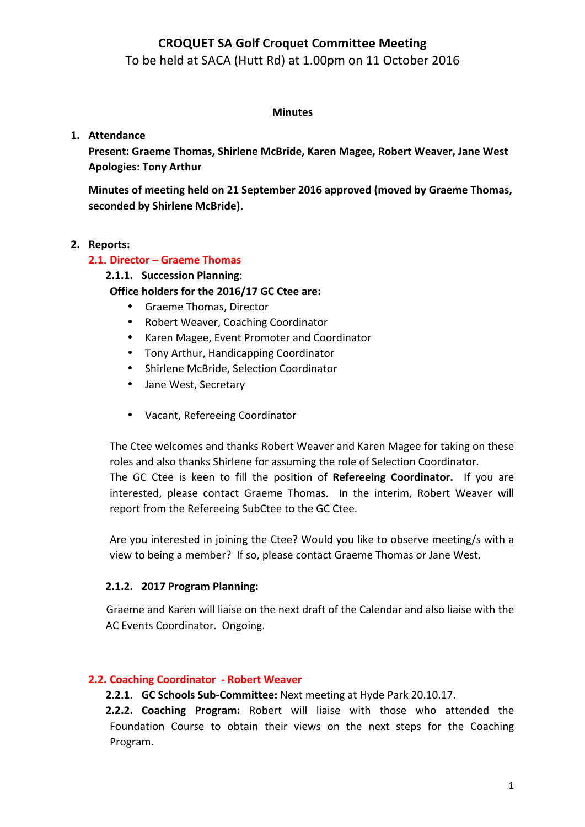To be held at SACA (Hutt Rd) at 1.00pm on 11 October 2016

#### **Minutes**

#### **1. Attendance**

**Present: Graeme Thomas, Shirlene McBride, Karen Magee, Robert Weaver, Jane West Apologies: Tony Arthur**

**Minutes of meeting held on 21 September 2016 approved (moved by Graeme Thomas, seconded by Shirlene McBride).**

#### **2. Reports:**

#### **2.1. Director – Graeme Thomas**

#### **2.1.1. Succession Planning**:

#### **Office holders for the 2016/17 GC Ctee are:**

- Graeme Thomas, Director
- Robert Weaver, Coaching Coordinator
- Karen Magee, Event Promoter and Coordinator
- Tony Arthur, Handicapping Coordinator
- Shirlene McBride, Selection Coordinator
- Jane West, Secretary
- Vacant, Refereeing Coordinator

The Ctee welcomes and thanks Robert Weaver and Karen Magee for taking on these roles and also thanks Shirlene for assuming the role of Selection Coordinator. The GC Ctee is keen to fill the position of Refereeing Coordinator. If you are

interested, please contact Graeme Thomas. In the interim, Robert Weaver will report from the Refereeing SubCtee to the GC Ctee.

Are you interested in joining the Ctee? Would you like to observe meeting/s with a view to being a member? If so, please contact Graeme Thomas or Jane West.

#### **2.1.2. 2017 Program Planning:**

Graeme and Karen will liaise on the next draft of the Calendar and also liaise with the AC Events Coordinator. Ongoing.

#### **2.2. Coaching Coordinator - Robert Weaver**

**2.2.1. GC Schools Sub-Committee:** Next meeting at Hyde Park 20.10.17.

**2.2.2. Coaching Program:** Robert will liaise with those who attended the Foundation Course to obtain their views on the next steps for the Coaching Program.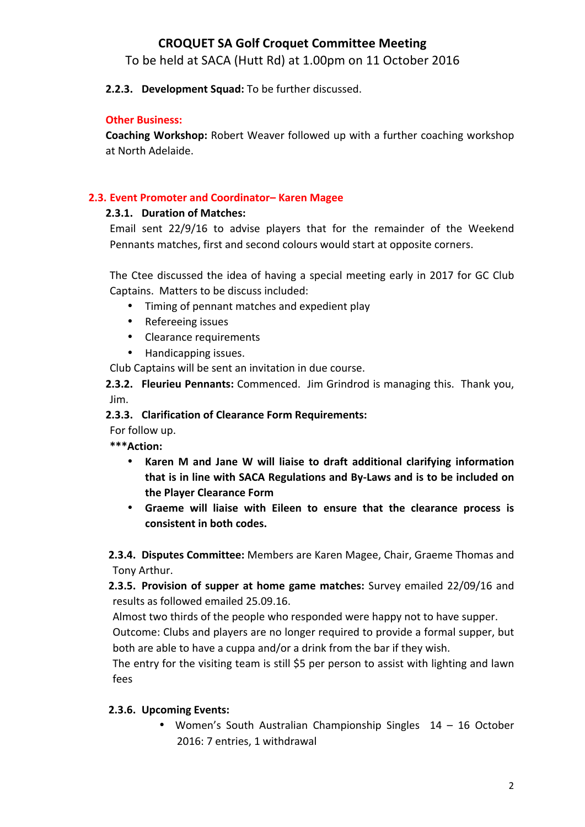To be held at SACA (Hutt Rd) at 1.00pm on 11 October 2016

#### 2.2.3. Development Squad: To be further discussed.

#### **Other Business:**

**Coaching Workshop:** Robert Weaver followed up with a further coaching workshop at North Adelaide.

#### **2.3. Event Promoter and Coordinator– Karen Magee**

#### **2.3.1. Duration of Matches:**

Email sent  $22/9/16$  to advise players that for the remainder of the Weekend Pennants matches, first and second colours would start at opposite corners.

The Ctee discussed the idea of having a special meeting early in 2017 for GC Club Captains. Matters to be discuss included:

- Timing of pennant matches and expedient play
- Refereeing issues
- Clearance requirements
- Handicapping issues.

Club Captains will be sent an invitation in due course.

**2.3.2. Fleurieu Pennants:** Commenced. Jim Grindrod is managing this. Thank you, Jim.

#### **2.3.3. Clarification of Clearance Form Requirements:**

For follow up.

**\*\*\*Action:** 

- Karen M and Jane W will liaise to draft additional clarifying information that is in line with SACA Regulations and By-Laws and is to be included on **the Player Clearance Form**
- Graeme will liaise with Eileen to ensure that the clearance process is **consistent in both codes.**

**2.3.4. Disputes Committee:** Members are Karen Magee, Chair, Graeme Thomas and Tony Arthur.

**2.3.5. Provision of supper at home game matches:** Survey emailed 22/09/16 and results as followed emailed 25.09.16.

Almost two thirds of the people who responded were happy not to have supper.

Outcome: Clubs and players are no longer required to provide a formal supper, but both are able to have a cuppa and/or a drink from the bar if they wish.

The entry for the visiting team is still \$5 per person to assist with lighting and lawn fees

#### **2.3.6. Upcoming Events:**

• Women's South Australian Championship Singles 14 - 16 October 2016: 7 entries, 1 withdrawal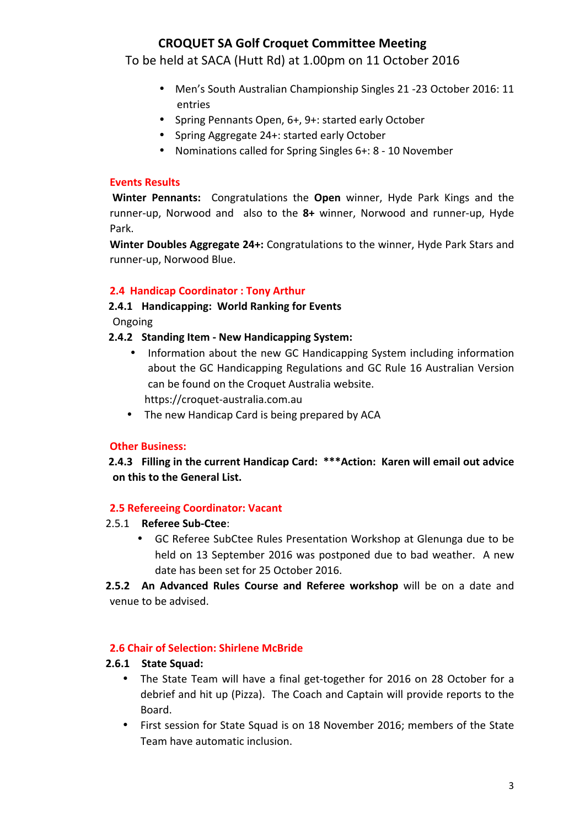To be held at SACA (Hutt Rd) at 1.00pm on 11 October 2016

- Men's South Australian Championship Singles 21 -23 October 2016: 11 entries
- Spring Pennants Open, 6+, 9+: started early October
- Spring Aggregate 24+: started early October
- Nominations called for Spring Singles 6+: 8 10 November

#### **Events Results**

**Winter Pennants:** Congratulations the **Open** winner, Hyde Park Kings and the runner-up, Norwood and also to the 8+ winner, Norwood and runner-up, Hyde Park.

**Winter Doubles Aggregate 24+:** Congratulations to the winner, Hyde Park Stars and runner-up, Norwood Blue.

#### **2.4 Handicap Coordinator : Tony Arthur**

# 2.4.1 **Handicapping: World Ranking for Events**

**Ongoing** 

#### **2.4.2 Standing Item - New Handicapping System:**

- Information about the new GC Handicapping System including information about the GC Handicapping Regulations and GC Rule 16 Australian Version can be found on the Croquet Australia website. https://croquet-australia.com.au
- The new Handicap Card is being prepared by ACA

#### **Other Business:**

2.4.3 Filling in the current Handicap Card: \*\*\*Action: Karen will email out advice **on this to the General List.**

#### **2.5 Refereeing Coordinator: Vacant**

- 2.5.1 **Referee Sub-Ctee:** 
	- GC Referee SubCtee Rules Presentation Workshop at Glenunga due to be held on 13 September 2016 was postponed due to bad weather. A new date has been set for 25 October 2016.

**2.5.2** An Advanced Rules Course and Referee workshop will be on a date and venue to be advised.

#### **2.6 Chair of Selection: Shirlene McBride**

#### **2.6.1 State Squad:**

- The State Team will have a final get-together for 2016 on 28 October for a debrief and hit up (Pizza). The Coach and Captain will provide reports to the Board.
- First session for State Squad is on 18 November 2016; members of the State Team have automatic inclusion.